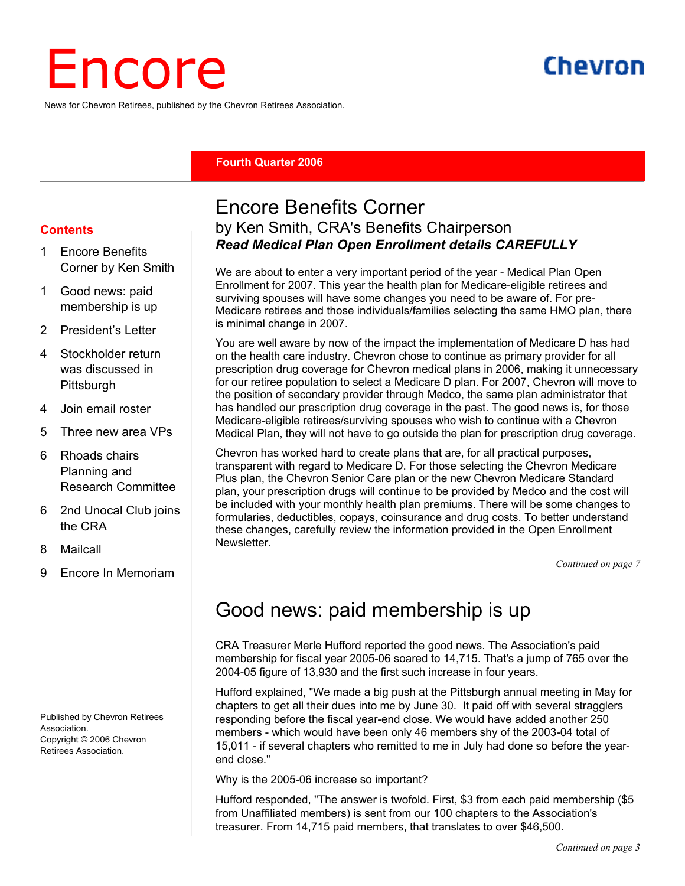# Encore

News for Chevron Retirees, published by the Chevron Retirees Association.

# Chevron

#### **Fourth Quarter 2006**

#### **Contents**

- 1 Encore Benefits Corner by Ken Smith
- 1 Good news: paid membership is up
- 2 President's Letter
- 4 Stockholder return was discussed in **Pittsburgh**
- 4 Join email roster
- 5 Three new area VPs
- 6 Rhoads chairs Planning and Research Committee
- 6 2nd Unocal Club joins the CRA
- 8 Mailcall
- 9 Encore In Memoriam

Published by Chevron Retirees Association. Copyright © 2006 Chevron Retirees Association.

#### Encore Benefits Corner by Ken Smith, CRA's Benefits Chairperson *Read Medical Plan Open Enrollment details CAREFULLY*

We are about to enter a very important period of the year - Medical Plan Open Enrollment for 2007. This year the health plan for Medicare-eligible retirees and surviving spouses will have some changes you need to be aware of. For pre-Medicare retirees and those individuals/families selecting the same HMO plan, there is minimal change in 2007.

You are well aware by now of the impact the implementation of Medicare D has had on the health care industry. Chevron chose to continue as primary provider for all prescription drug coverage for Chevron medical plans in 2006, making it unnecessary for our retiree population to select a Medicare D plan. For 2007, Chevron will move to the position of secondary provider through Medco, the same plan administrator that has handled our prescription drug coverage in the past. The good news is, for those Medicare-eligible retirees/surviving spouses who wish to continue with a Chevron Medical Plan, they will not have to go outside the plan for prescription drug coverage.

Chevron has worked hard to create plans that are, for all practical purposes, transparent with regard to Medicare D. For those selecting the Chevron Medicare Plus plan, the Chevron Senior Care plan or the new Chevron Medicare Standard plan, your prescription drugs will continue to be provided by Medco and the cost will be included with your monthly health plan premiums. There will be some changes to formularies, deductibles, copays, coinsurance and drug costs. To better understand these changes, carefully review the information provided in the Open Enrollment Newsletter.

*Continued on page 7*

# Good news: paid membership is up

CRA Treasurer Merle Hufford reported the good news. The Association's paid membership for fiscal year 2005-06 soared to 14,715. That's a jump of 765 over the 2004-05 figure of 13,930 and the first such increase in four years.

Hufford explained, "We made a big push at the Pittsburgh annual meeting in May for chapters to get all their dues into me by June 30. It paid off with several stragglers responding before the fiscal year-end close. We would have added another 250 members - which would have been only 46 members shy of the 2003-04 total of 15,011 - if several chapters who remitted to me in July had done so before the yearend close."

Why is the 2005-06 increase so important?

Hufford responded, "The answer is twofold. First, \$3 from each paid membership (\$5 from Unaffiliated members) is sent from our 100 chapters to the Association's treasurer. From 14,715 paid members, that translates to over \$46,500.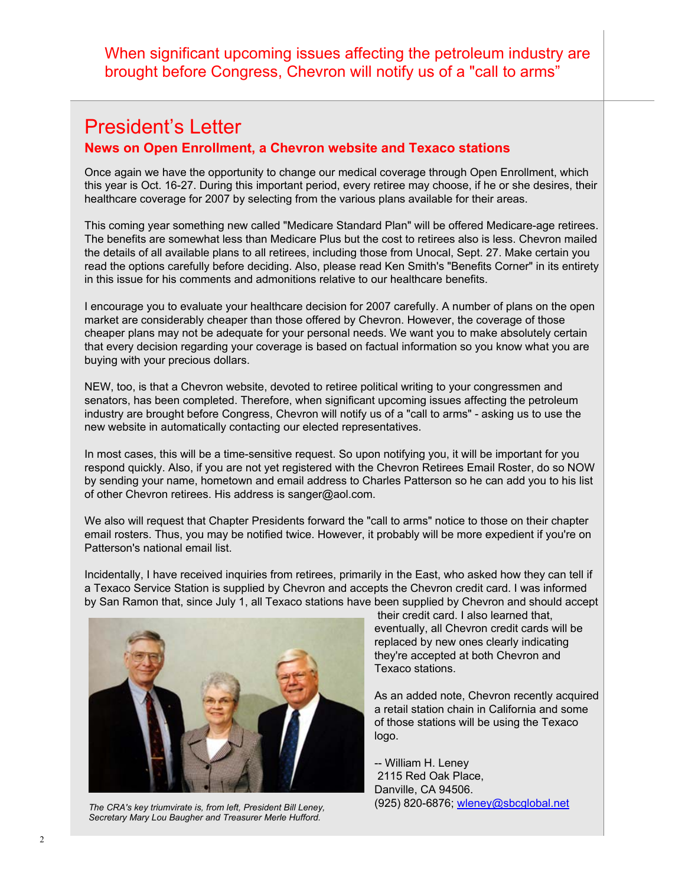When significant upcoming issues affecting the petroleum industry are brought before Congress, Chevron will notify us of a "call to arms"

### President's Letter

#### **News on Open Enrollment, a Chevron website and Texaco stations**

Once again we have the opportunity to change our medical coverage through Open Enrollment, which this year is Oct. 16-27. During this important period, every retiree may choose, if he or she desires, their healthcare coverage for 2007 by selecting from the various plans available for their areas.

This coming year something new called "Medicare Standard Plan" will be offered Medicare-age retirees. The benefits are somewhat less than Medicare Plus but the cost to retirees also is less. Chevron mailed the details of all available plans to all retirees, including those from Unocal, Sept. 27. Make certain you read the options carefully before deciding. Also, please read Ken Smith's "Benefits Corner" in its entirety in this issue for his comments and admonitions relative to our healthcare benefits.

I encourage you to evaluate your healthcare decision for 2007 carefully. A number of plans on the open market are considerably cheaper than those offered by Chevron. However, the coverage of those cheaper plans may not be adequate for your personal needs. We want you to make absolutely certain that every decision regarding your coverage is based on factual information so you know what you are buying with your precious dollars.

NEW, too, is that a Chevron website, devoted to retiree political writing to your congressmen and senators, has been completed. Therefore, when significant upcoming issues affecting the petroleum industry are brought before Congress, Chevron will notify us of a "call to arms" - asking us to use the new website in automatically contacting our elected representatives.

In most cases, this will be a time-sensitive request. So upon notifying you, it will be important for you respond quickly. Also, if you are not yet registered with the Chevron Retirees Email Roster, do so NOW by sending your name, hometown and email address to Charles Patterson so he can add you to his list of other Chevron retirees. His address is sanger@aol.com.

We also will request that Chapter Presidents forward the "call to arms" notice to those on their chapter email rosters. Thus, you may be notified twice. However, it probably will be more expedient if you're on Patterson's national email list.

Incidentally, I have received inquiries from retirees, primarily in the East, who asked how they can tell if a Texaco Service Station is supplied by Chevron and accepts the Chevron credit card. I was informed by San Ramon that, since July 1, all Texaco stations have been supplied by Chevron and should accept



*The CRA's key triumvirate is, from left, President Bill Leney, Secretary Mary Lou Baugher and Treasurer Merle Hufford.* 

 their credit card. I also learned that, eventually, all Chevron credit cards will be replaced by new ones clearly indicating they're accepted at both Chevron and Texaco stations.

As an added note, Chevron recently acquired a retail station chain in California and some of those stations will be using the Texaco logo.

-- William H. Leney 2115 Red Oak Place, Danville, CA 94506. (925) 820-6876; wleney@sbcglobal.net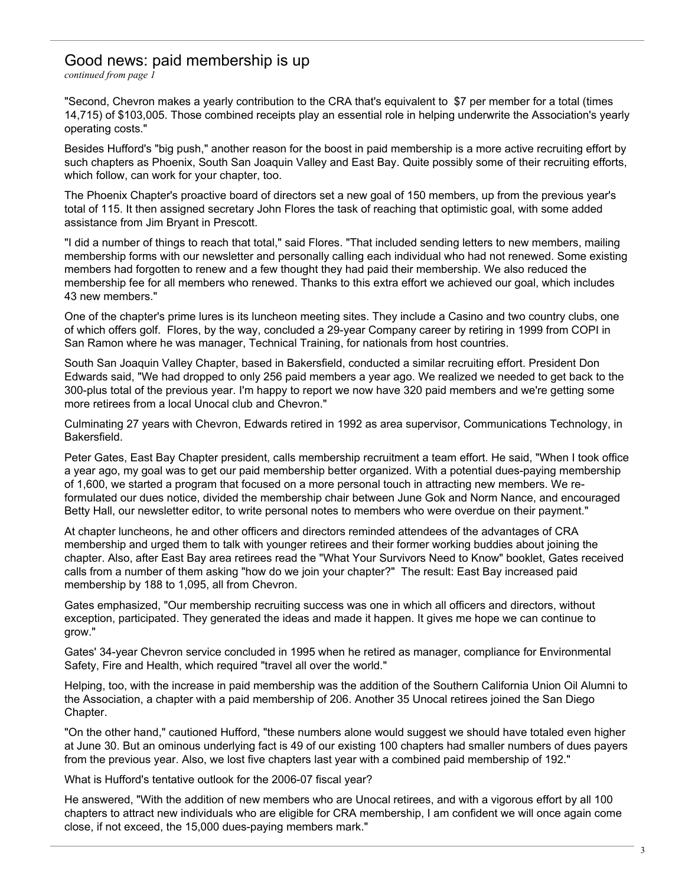#### Good news: paid membership is up

*continued from page 1*

"Second, Chevron makes a yearly contribution to the CRA that's equivalent to \$7 per member for a total (times 14,715) of \$103,005. Those combined receipts play an essential role in helping underwrite the Association's yearly operating costs."

Besides Hufford's "big push," another reason for the boost in paid membership is a more active recruiting effort by such chapters as Phoenix, South San Joaquin Valley and East Bay. Quite possibly some of their recruiting efforts, which follow, can work for your chapter, too.

The Phoenix Chapter's proactive board of directors set a new goal of 150 members, up from the previous year's total of 115. It then assigned secretary John Flores the task of reaching that optimistic goal, with some added assistance from Jim Bryant in Prescott.

"I did a number of things to reach that total," said Flores. "That included sending letters to new members, mailing membership forms with our newsletter and personally calling each individual who had not renewed. Some existing members had forgotten to renew and a few thought they had paid their membership. We also reduced the membership fee for all members who renewed. Thanks to this extra effort we achieved our goal, which includes 43 new members."

One of the chapter's prime lures is its luncheon meeting sites. They include a Casino and two country clubs, one of which offers golf. Flores, by the way, concluded a 29-year Company career by retiring in 1999 from COPI in San Ramon where he was manager, Technical Training, for nationals from host countries.

South San Joaquin Valley Chapter, based in Bakersfield, conducted a similar recruiting effort. President Don Edwards said, "We had dropped to only 256 paid members a year ago. We realized we needed to get back to the 300-plus total of the previous year. I'm happy to report we now have 320 paid members and we're getting some more retirees from a local Unocal club and Chevron."

Culminating 27 years with Chevron, Edwards retired in 1992 as area supervisor, Communications Technology, in Bakersfield.

Peter Gates, East Bay Chapter president, calls membership recruitment a team effort. He said, "When I took office a year ago, my goal was to get our paid membership better organized. With a potential dues-paying membership of 1,600, we started a program that focused on a more personal touch in attracting new members. We reformulated our dues notice, divided the membership chair between June Gok and Norm Nance, and encouraged Betty Hall, our newsletter editor, to write personal notes to members who were overdue on their payment."

At chapter luncheons, he and other officers and directors reminded attendees of the advantages of CRA membership and urged them to talk with younger retirees and their former working buddies about joining the chapter. Also, after East Bay area retirees read the "What Your Survivors Need to Know" booklet, Gates received calls from a number of them asking "how do we join your chapter?" The result: East Bay increased paid membership by 188 to 1,095, all from Chevron.

Gates emphasized, "Our membership recruiting success was one in which all officers and directors, without exception, participated. They generated the ideas and made it happen. It gives me hope we can continue to grow."

Gates' 34-year Chevron service concluded in 1995 when he retired as manager, compliance for Environmental Safety, Fire and Health, which required "travel all over the world."

Helping, too, with the increase in paid membership was the addition of the Southern California Union Oil Alumni to the Association, a chapter with a paid membership of 206. Another 35 Unocal retirees joined the San Diego Chapter.

"On the other hand," cautioned Hufford, "these numbers alone would suggest we should have totaled even higher at June 30. But an ominous underlying fact is 49 of our existing 100 chapters had smaller numbers of dues payers from the previous year. Also, we lost five chapters last year with a combined paid membership of 192."

What is Hufford's tentative outlook for the 2006-07 fiscal year?

He answered, "With the addition of new members who are Unocal retirees, and with a vigorous effort by all 100 chapters to attract new individuals who are eligible for CRA membership, I am confident we will once again come close, if not exceed, the 15,000 dues-paying members mark."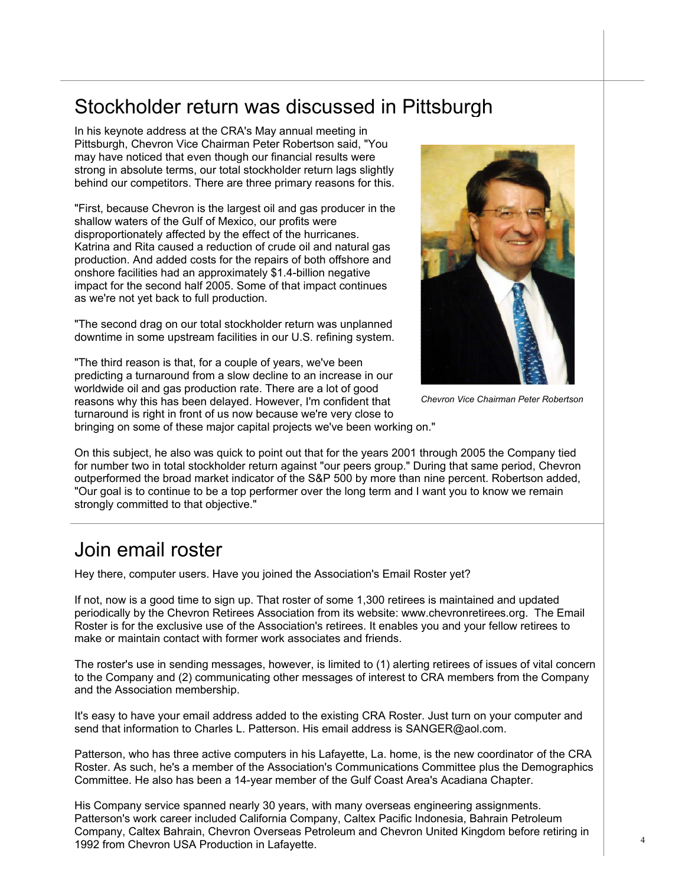# Stockholder return was discussed in Pittsburgh

In his keynote address at the CRA's May annual meeting in Pittsburgh, Chevron Vice Chairman Peter Robertson said, "You may have noticed that even though our financial results were strong in absolute terms, our total stockholder return lags slightly behind our competitors. There are three primary reasons for this.

"First, because Chevron is the largest oil and gas producer in the shallow waters of the Gulf of Mexico, our profits were disproportionately affected by the effect of the hurricanes. Katrina and Rita caused a reduction of crude oil and natural gas production. And added costs for the repairs of both offshore and onshore facilities had an approximately \$1.4-billion negative impact for the second half 2005. Some of that impact continues as we're not yet back to full production.

"The second drag on our total stockholder return was unplanned downtime in some upstream facilities in our U.S. refining system.

"The third reason is that, for a couple of years, we've been predicting a turnaround from a slow decline to an increase in our worldwide oil and gas production rate. There are a lot of good reasons why this has been delayed. However, I'm confident that turnaround is right in front of us now because we're very close to



*Chevron Vice Chairman Peter Robertson* 

bringing on some of these major capital projects we've been working on."

On this subject, he also was quick to point out that for the years 2001 through 2005 the Company tied for number two in total stockholder return against "our peers group." During that same period, Chevron outperformed the broad market indicator of the S&P 500 by more than nine percent. Robertson added, "Our goal is to continue to be a top performer over the long term and I want you to know we remain strongly committed to that objective."

## Join email roster

Hey there, computer users. Have you joined the Association's Email Roster yet?

If not, now is a good time to sign up. That roster of some 1,300 retirees is maintained and updated periodically by the Chevron Retirees Association from its website: www.chevronretirees.org. The Email Roster is for the exclusive use of the Association's retirees. It enables you and your fellow retirees to make or maintain contact with former work associates and friends.

The roster's use in sending messages, however, is limited to (1) alerting retirees of issues of vital concern to the Company and (2) communicating other messages of interest to CRA members from the Company and the Association membership.

It's easy to have your email address added to the existing CRA Roster. Just turn on your computer and send that information to Charles L. Patterson. His email address is SANGER@aol.com.

Patterson, who has three active computers in his Lafayette, La. home, is the new coordinator of the CRA Roster. As such, he's a member of the Association's Communications Committee plus the Demographics Committee. He also has been a 14-year member of the Gulf Coast Area's Acadiana Chapter.

His Company service spanned nearly 30 years, with many overseas engineering assignments. Patterson's work career included California Company, Caltex Pacific Indonesia, Bahrain Petroleum Company, Caltex Bahrain, Chevron Overseas Petroleum and Chevron United Kingdom before retiring in 1992 from Chevron USA Production in Lafayette.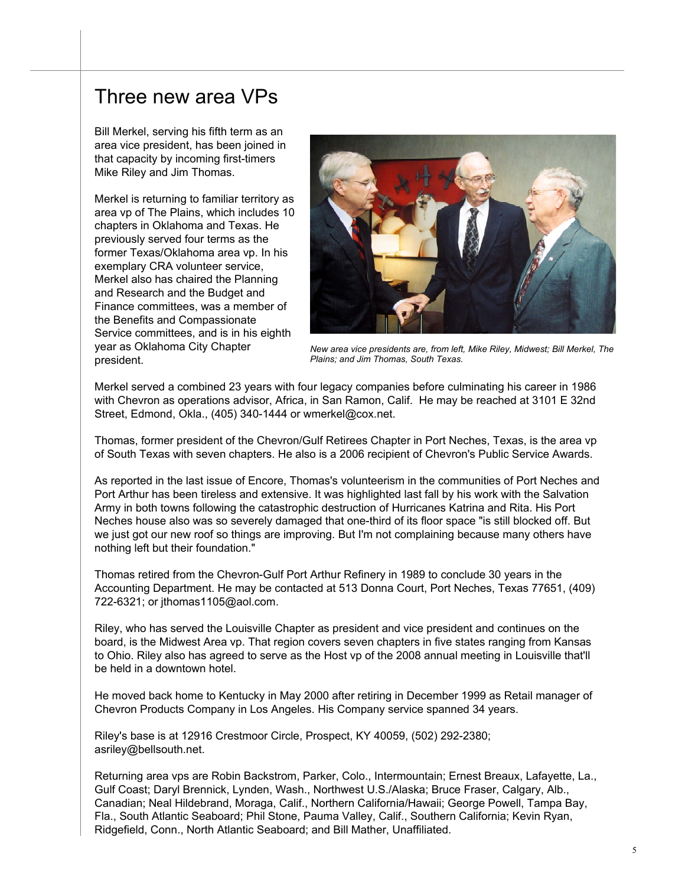#### Three new area VPs

Bill Merkel, serving his fifth term as an area vice president, has been joined in that capacity by incoming first-timers Mike Riley and Jim Thomas.

Merkel is returning to familiar territory as area vp of The Plains, which includes 10 chapters in Oklahoma and Texas. He previously served four terms as the former Texas/Oklahoma area vp. In his exemplary CRA volunteer service, Merkel also has chaired the Planning and Research and the Budget and Finance committees, was a member of the Benefits and Compassionate Service committees, and is in his eighth year as Oklahoma City Chapter president.



*New area vice presidents are, from left, Mike Riley, Midwest; Bill Merkel, The Plains; and Jim Thomas, South Texas.* 

Merkel served a combined 23 years with four legacy companies before culminating his career in 1986 with Chevron as operations advisor, Africa, in San Ramon, Calif. He may be reached at 3101 E 32nd Street, Edmond, Okla., (405) 340-1444 or wmerkel@cox.net.

Thomas, former president of the Chevron/Gulf Retirees Chapter in Port Neches, Texas, is the area vp of South Texas with seven chapters. He also is a 2006 recipient of Chevron's Public Service Awards.

As reported in the last issue of Encore, Thomas's volunteerism in the communities of Port Neches and Port Arthur has been tireless and extensive. It was highlighted last fall by his work with the Salvation Army in both towns following the catastrophic destruction of Hurricanes Katrina and Rita. His Port Neches house also was so severely damaged that one-third of its floor space "is still blocked off. But we just got our new roof so things are improving. But I'm not complaining because many others have nothing left but their foundation."

Thomas retired from the Chevron-Gulf Port Arthur Refinery in 1989 to conclude 30 years in the Accounting Department. He may be contacted at 513 Donna Court, Port Neches, Texas 77651, (409) 722-6321; or jthomas1105@aol.com.

Riley, who has served the Louisville Chapter as president and vice president and continues on the board, is the Midwest Area vp. That region covers seven chapters in five states ranging from Kansas to Ohio. Riley also has agreed to serve as the Host vp of the 2008 annual meeting in Louisville that'll be held in a downtown hotel.

He moved back home to Kentucky in May 2000 after retiring in December 1999 as Retail manager of Chevron Products Company in Los Angeles. His Company service spanned 34 years.

Riley's base is at 12916 Crestmoor Circle, Prospect, KY 40059, (502) 292-2380; asriley@bellsouth.net.

Returning area vps are Robin Backstrom, Parker, Colo., Intermountain; Ernest Breaux, Lafayette, La., Gulf Coast; Daryl Brennick, Lynden, Wash., Northwest U.S./Alaska; Bruce Fraser, Calgary, Alb., Canadian; Neal Hildebrand, Moraga, Calif., Northern California/Hawaii; George Powell, Tampa Bay, Fla., South Atlantic Seaboard; Phil Stone, Pauma Valley, Calif., Southern California; Kevin Ryan, Ridgefield, Conn., North Atlantic Seaboard; and Bill Mather, Unaffiliated.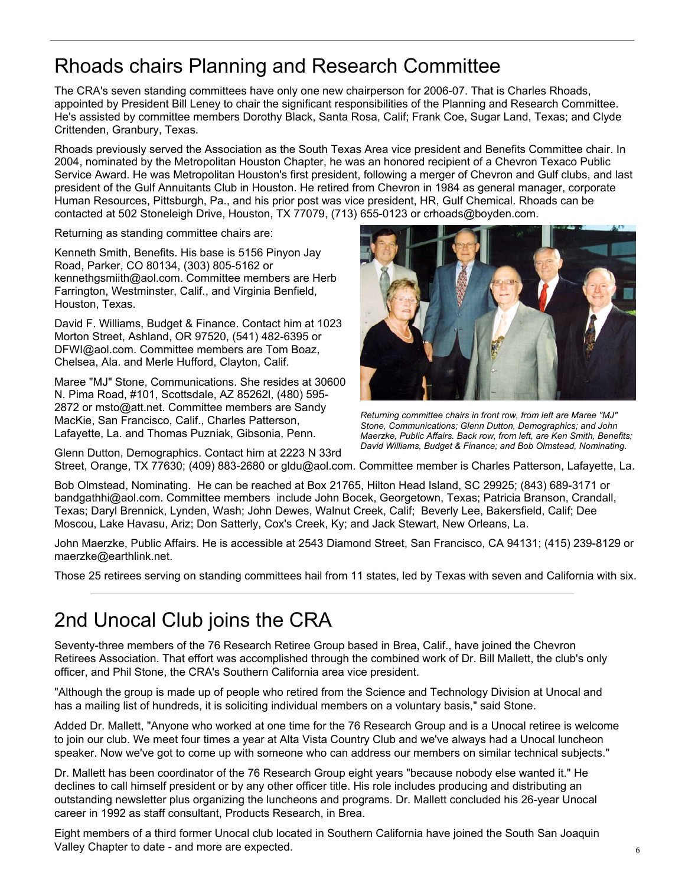# Rhoads chairs Planning and Research Committee

The CRA's seven standing committees have only one new chairperson for 2006-07. That is Charles Rhoads, appointed by President Bill Leney to chair the significant responsibilities of the Planning and Research Committee. He's assisted by committee members Dorothy Black, Santa Rosa, Calif; Frank Coe, Sugar Land, Texas; and Clyde Crittenden, Granbury, Texas.

Rhoads previously served the Association as the South Texas Area vice president and Benefits Committee chair. In 2004, nominated by the Metropolitan Houston Chapter, he was an honored recipient of a Chevron Texaco Public Service Award. He was Metropolitan Houston's first president, following a merger of Chevron and Gulf clubs, and last president of the Gulf Annuitants Club in Houston. He retired from Chevron in 1984 as general manager, corporate Human Resources, Pittsburgh, Pa., and his prior post was vice president, HR, Gulf Chemical. Rhoads can be contacted at 502 Stoneleigh Drive, Houston, TX 77079, (713) 655-0123 or crhoads@boyden.com.

Returning as standing committee chairs are:

Kenneth Smith, Benefits. His base is 5156 Pinyon Jay Road, Parker, CO 80134, (303) 805-5162 or kennethgsmiith@aol.com. Committee members are Herb Farrington, Westminster, Calif., and Virginia Benfield, Houston, Texas.

David F. Williams, Budget & Finance. Contact him at 1023 Morton Street, Ashland, OR 97520, (541) 482-6395 or DFWI@aol.com. Committee members are Tom Boaz, Chelsea, Ala. and Merle Hufford, Clayton, Calif.

Maree "MJ" Stone, Communications. She resides at 30600 N. Pima Road, #101, Scottsdale, AZ 85262l, (480) 595- 2872 or msto@att.net. Committee members are Sandy MacKie, San Francisco, Calif., Charles Patterson, Lafayette, La. and Thomas Puzniak, Gibsonia, Penn.

Glenn Dutton, Demographics. Contact him at 2223 N 33rd



*Returning committee chairs in front row, from left are Maree "MJ" Stone, Communications; Glenn Dutton, Demographics; and John Maerzke, Public Affairs. Back row, from left, are Ken Smith, Benefits; David Williams, Budget & Finance; and Bob Olmstead, Nominating.* 

Street, Orange, TX 77630; (409) 883-2680 or gldu@aol.com. Committee member is Charles Patterson, Lafayette, La.

Bob Olmstead, Nominating. He can be reached at Box 21765, Hilton Head Island, SC 29925; (843) 689-3171 or bandgathhi@aol.com. Committee members include John Bocek, Georgetown, Texas; Patricia Branson, Crandall, Texas; Daryl Brennick, Lynden, Wash; John Dewes, Walnut Creek, Calif; Beverly Lee, Bakersfield, Calif; Dee Moscou, Lake Havasu, Ariz; Don Satterly, Cox's Creek, Ky; and Jack Stewart, New Orleans, La.

John Maerzke, Public Affairs. He is accessible at 2543 Diamond Street, San Francisco, CA 94131; (415) 239-8129 or maerzke@earthlink.net.

Those 25 retirees serving on standing committees hail from 11 states, led by Texas with seven and California with six.

# 2nd Unocal Club joins the CRA

Seventy-three members of the 76 Research Retiree Group based in Brea, Calif., have joined the Chevron Retirees Association. That effort was accomplished through the combined work of Dr. Bill Mallett, the club's only officer, and Phil Stone, the CRA's Southern California area vice president.

"Although the group is made up of people who retired from the Science and Technology Division at Unocal and has a mailing list of hundreds, it is soliciting individual members on a voluntary basis," said Stone.

Added Dr. Mallett, "Anyone who worked at one time for the 76 Research Group and is a Unocal retiree is welcome to join our club. We meet four times a year at Alta Vista Country Club and we've always had a Unocal luncheon speaker. Now we've got to come up with someone who can address our members on similar technical subjects."

Dr. Mallett has been coordinator of the 76 Research Group eight years "because nobody else wanted it." He declines to call himself president or by any other officer title. His role includes producing and distributing an outstanding newsletter plus organizing the luncheons and programs. Dr. Mallett concluded his 26-year Unocal career in 1992 as staff consultant, Products Research, in Brea.

Eight members of a third former Unocal club located in Southern California have joined the South San Joaquin Valley Chapter to date - and more are expected.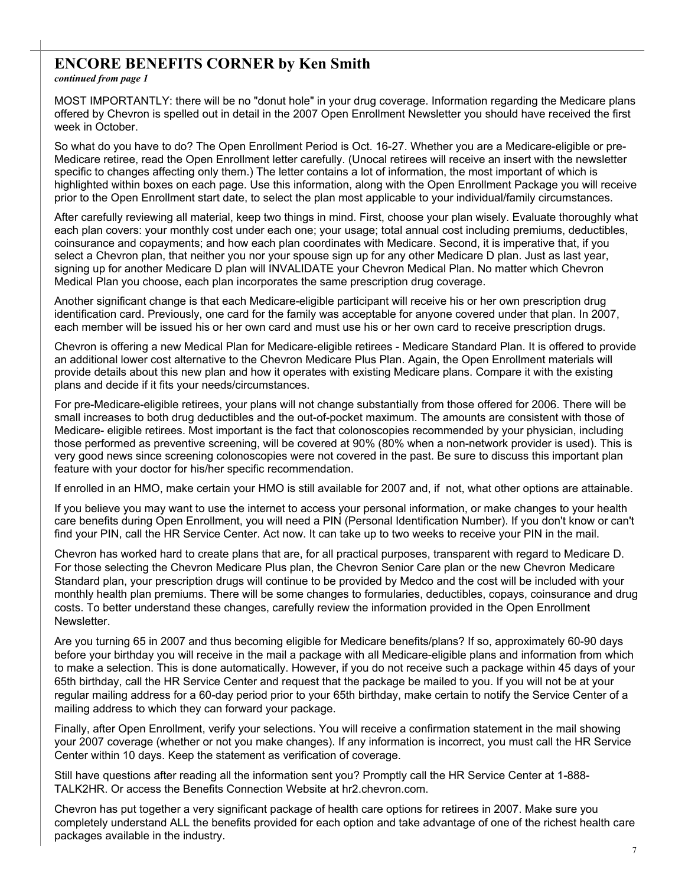#### **ENCORE BENEFITS CORNER by Ken Smith**

*continued from page 1*

MOST IMPORTANTLY: there will be no "donut hole" in your drug coverage. Information regarding the Medicare plans offered by Chevron is spelled out in detail in the 2007 Open Enrollment Newsletter you should have received the first week in October.

So what do you have to do? The Open Enrollment Period is Oct. 16-27. Whether you are a Medicare-eligible or pre-Medicare retiree, read the Open Enrollment letter carefully. (Unocal retirees will receive an insert with the newsletter specific to changes affecting only them.) The letter contains a lot of information, the most important of which is highlighted within boxes on each page. Use this information, along with the Open Enrollment Package you will receive prior to the Open Enrollment start date, to select the plan most applicable to your individual/family circumstances.

After carefully reviewing all material, keep two things in mind. First, choose your plan wisely. Evaluate thoroughly what each plan covers: your monthly cost under each one; your usage; total annual cost including premiums, deductibles, coinsurance and copayments; and how each plan coordinates with Medicare. Second, it is imperative that, if you select a Chevron plan, that neither you nor your spouse sign up for any other Medicare D plan. Just as last year, signing up for another Medicare D plan will INVALIDATE your Chevron Medical Plan. No matter which Chevron Medical Plan you choose, each plan incorporates the same prescription drug coverage.

Another significant change is that each Medicare-eligible participant will receive his or her own prescription drug identification card. Previously, one card for the family was acceptable for anyone covered under that plan. In 2007, each member will be issued his or her own card and must use his or her own card to receive prescription drugs.

Chevron is offering a new Medical Plan for Medicare-eligible retirees - Medicare Standard Plan. It is offered to provide an additional lower cost alternative to the Chevron Medicare Plus Plan. Again, the Open Enrollment materials will provide details about this new plan and how it operates with existing Medicare plans. Compare it with the existing plans and decide if it fits your needs/circumstances.

For pre-Medicare-eligible retirees, your plans will not change substantially from those offered for 2006. There will be small increases to both drug deductibles and the out-of-pocket maximum. The amounts are consistent with those of Medicare- eligible retirees. Most important is the fact that colonoscopies recommended by your physician, including those performed as preventive screening, will be covered at 90% (80% when a non-network provider is used). This is very good news since screening colonoscopies were not covered in the past. Be sure to discuss this important plan feature with your doctor for his/her specific recommendation.

If enrolled in an HMO, make certain your HMO is still available for 2007 and, if not, what other options are attainable.

If you believe you may want to use the internet to access your personal information, or make changes to your health care benefits during Open Enrollment, you will need a PIN (Personal Identification Number). If you don't know or can't find your PIN, call the HR Service Center. Act now. It can take up to two weeks to receive your PIN in the mail.

Chevron has worked hard to create plans that are, for all practical purposes, transparent with regard to Medicare D. For those selecting the Chevron Medicare Plus plan, the Chevron Senior Care plan or the new Chevron Medicare Standard plan, your prescription drugs will continue to be provided by Medco and the cost will be included with your monthly health plan premiums. There will be some changes to formularies, deductibles, copays, coinsurance and drug costs. To better understand these changes, carefully review the information provided in the Open Enrollment Newsletter.

Are you turning 65 in 2007 and thus becoming eligible for Medicare benefits/plans? If so, approximately 60-90 days before your birthday you will receive in the mail a package with all Medicare-eligible plans and information from which to make a selection. This is done automatically. However, if you do not receive such a package within 45 days of your 65th birthday, call the HR Service Center and request that the package be mailed to you. If you will not be at your regular mailing address for a 60-day period prior to your 65th birthday, make certain to notify the Service Center of a mailing address to which they can forward your package.

Finally, after Open Enrollment, verify your selections. You will receive a confirmation statement in the mail showing your 2007 coverage (whether or not you make changes). If any information is incorrect, you must call the HR Service Center within 10 days. Keep the statement as verification of coverage.

Still have questions after reading all the information sent you? Promptly call the HR Service Center at 1-888- TALK2HR. Or access the Benefits Connection Website at hr2.chevron.com.

Chevron has put together a very significant package of health care options for retirees in 2007. Make sure you completely understand ALL the benefits provided for each option and take advantage of one of the richest health care packages available in the industry.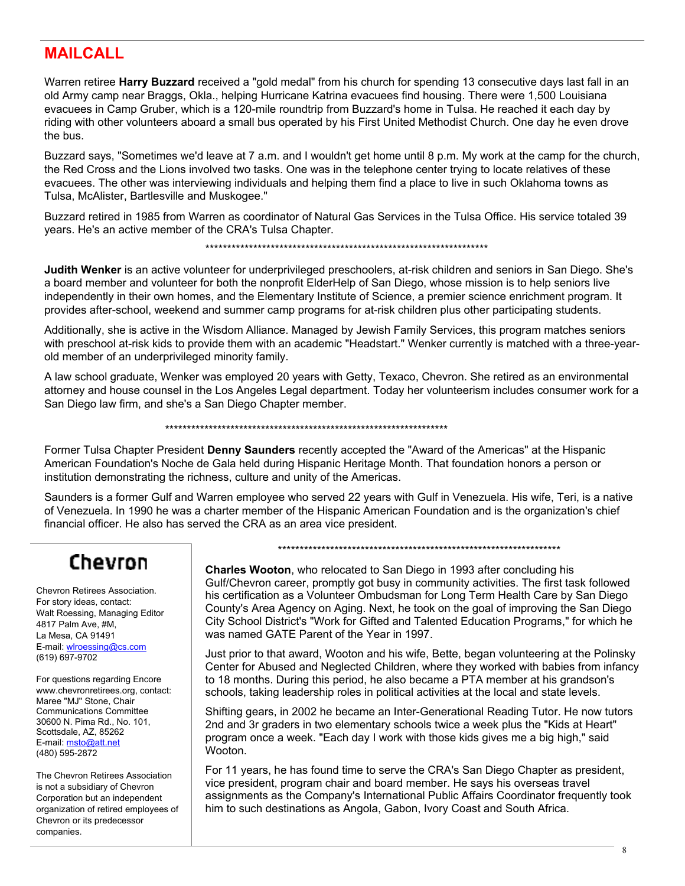#### **MAILCALL**

Warren retiree **Harry Buzzard** received a "gold medal" from his church for spending 13 consecutive days last fall in an old Army camp near Braggs, Okla., helping Hurricane Katrina evacuees find housing. There were 1,500 Louisiana evacuees in Camp Gruber, which is a 120-mile roundtrip from Buzzard's home in Tulsa. He reached it each day by riding with other volunteers aboard a small bus operated by his First United Methodist Church. One day he even drove the bus.

Buzzard says, "Sometimes we'd leave at 7 a.m. and I wouldn't get home until 8 p.m. My work at the camp for the church, the Red Cross and the Lions involved two tasks. One was in the telephone center trying to locate relatives of these evacuees. The other was interviewing individuals and helping them find a place to live in such Oklahoma towns as Tulsa, McAlister, Bartlesville and Muskogee."

Buzzard retired in 1985 from Warren as coordinator of Natural Gas Services in the Tulsa Office. His service totaled 39 years. He's an active member of the CRA's Tulsa Chapter.

\*\*\*\*\*\*\*\*\*\*\*\*\*\*\*\*\*\*\*\*\*\*\*\*\*\*\*\*\*\*\*\*\*\*\*\*\*\*\*\*\*\*\*\*\*\*\*\*\*\*\*\*\*\*\*\*\*\*\*\*\*\*\*\*\*

**Judith Wenker** is an active volunteer for underprivileged preschoolers, at-risk children and seniors in San Diego. She's a board member and volunteer for both the nonprofit ElderHelp of San Diego, whose mission is to help seniors live independently in their own homes, and the Elementary Institute of Science, a premier science enrichment program. It provides after-school, weekend and summer camp programs for at-risk children plus other participating students.

Additionally, she is active in the Wisdom Alliance. Managed by Jewish Family Services, this program matches seniors with preschool at-risk kids to provide them with an academic "Headstart." Wenker currently is matched with a three-yearold member of an underprivileged minority family.

A law school graduate, Wenker was employed 20 years with Getty, Texaco, Chevron. She retired as an environmental attorney and house counsel in the Los Angeles Legal department. Today her volunteerism includes consumer work for a San Diego law firm, and she's a San Diego Chapter member.

\*\*\*\*\*\*\*\*\*\*\*\*\*\*\*\*\*\*\*\*\*\*\*\*\*\*\*\*\*\*\*\*\*\*\*\*\*\*\*\*\*\*\*\*\*\*\*\*\*\*\*\*\*\*\*\*\*\*\*\*\*\*\*\*\*

Former Tulsa Chapter President **Denny Saunders** recently accepted the "Award of the Americas" at the Hispanic American Foundation's Noche de Gala held during Hispanic Heritage Month. That foundation honors a person or institution demonstrating the richness, culture and unity of the Americas.

Saunders is a former Gulf and Warren employee who served 22 years with Gulf in Venezuela. His wife, Teri, is a native of Venezuela. In 1990 he was a charter member of the Hispanic American Foundation and is the organization's chief financial officer. He also has served the CRA as an area vice president.

# Chevron

Chevron Retirees Association. For story ideas, contact: Walt Roessing, Managing Editor 4817 Palm Ave, #M, La Mesa, CA 91491 E-mail: wlroessing@cs.com (619) 697-9702

For questions regarding Encore www.chevronretirees.org, contact: Maree "MJ" Stone, Chair Communications Committee 30600 N. Pima Rd., No. 101, Scottsdale, AZ, 85262 E-mail: msto@att.net (480) 595-2872

The Chevron Retirees Association is not a subsidiary of Chevron Corporation but an independent organization of retired employees of Chevron or its predecessor companies.

\*\*\*\*\*\*\*\*\*\*\*\*\*\*\*\*\*\*\*\*\*\*\*\*\*\*\*\*\*\*\*\*\*\*\*\*\*\*\*\*\*\*\*\*\*\*\*\*\*\*\*\*\*\*\*\*\*\*\*\*\*\*\*\*\*

**Charles Wooton**, who relocated to San Diego in 1993 after concluding his Gulf/Chevron career, promptly got busy in community activities. The first task followed his certification as a Volunteer Ombudsman for Long Term Health Care by San Diego County's Area Agency on Aging. Next, he took on the goal of improving the San Diego City School District's "Work for Gifted and Talented Education Programs," for which he was named GATE Parent of the Year in 1997.

Just prior to that award, Wooton and his wife, Bette, began volunteering at the Polinsky Center for Abused and Neglected Children, where they worked with babies from infancy to 18 months. During this period, he also became a PTA member at his grandson's schools, taking leadership roles in political activities at the local and state levels.

Shifting gears, in 2002 he became an Inter-Generational Reading Tutor. He now tutors 2nd and 3r graders in two elementary schools twice a week plus the "Kids at Heart" program once a week. "Each day I work with those kids gives me a big high," said Wooton.

For 11 years, he has found time to serve the CRA's San Diego Chapter as president, vice president, program chair and board member. He says his overseas travel assignments as the Company's International Public Affairs Coordinator frequently took him to such destinations as Angola, Gabon, Ivory Coast and South Africa.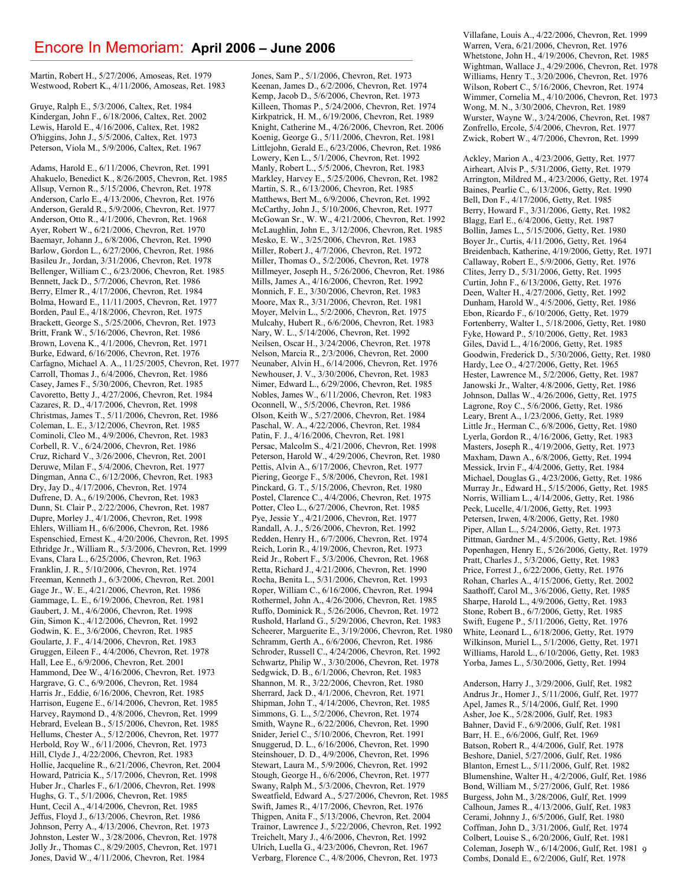#### Encore In Memoriam: **April 2006 – June 2006**

Martin, Robert H., 5/27/2006, Amoseas, Ret. 1979 Westwood, Robert K., 4/11/2006, Amoseas, Ret. 1983

Gruye, Ralph E., 5/3/2006, Caltex, Ret. 1984 Kindergan, John F., 6/18/2006, Caltex, Ret. 2002 Lewis, Harold E., 4/16/2006, Caltex, Ret. 1982 O'higgins, John J., 5/5/2006, Caltex, Ret. 1973 Peterson, Viola M., 5/9/2006, Caltex, Ret. 1967

Adams, Harold E., 6/11/2006, Chevron, Ret. 1991 Ahakuelo, Benedict K., 8/26/2005, Chevron, Ret. 1985 Allsup, Vernon R., 5/15/2006, Chevron, Ret. 1978 Anderson, Carlo E., 4/13/2006, Chevron, Ret. 1976 Anderson, Gerald R., 5/9/2006, Chevron, Ret. 1977 Anderson, Otto R., 4/1/2006, Chevron, Ret. 1968 Ayer, Robert W., 6/21/2006, Chevron, Ret. 1970 Baemayr, Johann J., 6/8/2006, Chevron, Ret. 1990 Barlow, Gordon L., 6/27/2006, Chevron, Ret. 1986 Basileu Jr., Jordan, 3/31/2006, Chevron, Ret. 1978 Bellenger, William C., 6/23/2006, Chevron, Ret. 1985 Bennett, Jack D., 5/7/2006, Chevron, Ret. 1986 Berry, Elmer R., 4/17/2006, Chevron, Ret. 1984 Bolma, Howard E., 11/11/2005, Chevron, Ret. 1977 Borden, Paul E., 4/18/2006, Chevron, Ret. 1975 Brackett, George S., 5/25/2006, Chevron, Ret. 1973 Britt, Frank W., 5/16/2006, Chevron, Ret. 1986 Brown, Lovena K., 4/1/2006, Chevron, Ret. 1971 Burke, Edward, 6/16/2006, Chevron, Ret. 1976 Carfagno, Michael A. A., 11/25/2005, Chevron, Ret. 1977 Carroll, Thomas J., 6/4/2006, Chevron, Ret. 1986 Casey, James F., 5/30/2006, Chevron, Ret. 1985 Cavoretto, Betty J., 4/27/2006, Chevron, Ret. 1984 Cazares, R. D., 4/17/2006, Chevron, Ret. 1998 Christmas, James T., 5/11/2006, Chevron, Ret. 1986 Coleman, L. E., 3/12/2006, Chevron, Ret. 1985 Cominoli, Cleo M., 4/9/2006, Chevron, Ret. 1983 Corbell, R. V., 6/24/2006, Chevron, Ret. 1986 Cruz, Richard V., 3/26/2006, Chevron, Ret. 2001 Deruwe, Milan F., 5/4/2006, Chevron, Ret. 1977 Dingman, Anna C., 6/12/2006, Chevron, Ret. 1983 Dry, Jay D., 4/17/2006, Chevron, Ret. 1974 Dufrene, D. A., 6/19/2006, Chevron, Ret. 1983 Dunn, St. Clair P., 2/22/2006, Chevron, Ret. 1987 Dupre, Morley J., 4/1/2006, Chevron, Ret. 1998 Ehlers, William H., 6/6/2006, Chevron, Ret. 1986 Espenschied, Ernest K., 4/20/2006, Chevron, Ret. 1995 Ethridge Jr., William R., 5/3/2006, Chevron, Ret. 1999 Evans, Clara L., 6/25/2006, Chevron, Ret. 1963 Franklin, J. R., 5/10/2006, Chevron, Ret. 1974 Freeman, Kenneth J., 6/3/2006, Chevron, Ret. 2001 Gage Jr., W. E., 4/21/2006, Chevron, Ret. 1986 Gammage, L. E., 6/19/2006, Chevron, Ret. 1981 Gaubert, J. M., 4/6/2006, Chevron, Ret. 1998 Gin, Simon K., 4/12/2006, Chevron, Ret. 1992 Godwin, K. E., 3/6/2006, Chevron, Ret. 1985 Goularte, J. F., 4/14/2006, Chevron, Ret. 1983 Gruggen, Eileen F., 4/4/2006, Chevron, Ret. 1978 Hall, Lee E., 6/9/2006, Chevron, Ret. 2001 Hammond, Dee W., 4/16/2006, Chevron, Ret. 1973 Hargrave, G. C., 6/9/2006, Chevron, Ret. 1984 Harris Jr., Eddie, 6/16/2006, Chevron, Ret. 1985 Harrison, Eugene E., 6/14/2006, Chevron, Ret. 1985 Harvey, Raymond D., 4/8/2006, Chevron, Ret. 1999 Hebrard, Evelean B., 5/15/2006, Chevron, Ret. 1985 Hellums, Chester A., 5/12/2006, Chevron, Ret. 1977 Herbold, Roy W., 6/11/2006, Chevron, Ret. 1973 Hill, Clyde J., 4/22/2006, Chevron, Ret. 1983 Hollie, Jacqueline R., 6/21/2006, Chevron, Ret. 2004 Howard, Patricia K., 5/17/2006, Chevron, Ret. 1998 Huber Jr., Charles F., 6/1/2006, Chevron, Ret. 1998 Hughs, G. T., 5/1/2006, Chevron, Ret. 1985 Hunt, Cecil A., 4/14/2006, Chevron, Ret. 1985 Jeffus, Floyd J., 6/13/2006, Chevron, Ret. 1986 Johnson, Perry A., 4/13/2006, Chevron, Ret. 1973 Johnston, Lester W., 3/28/2006, Chevron, Ret. 1978 Jolly Jr., Thomas C., 8/29/2005, Chevron, Ret. 1971 Jones, David W., 4/11/2006, Chevron, Ret. 1984

Jones, Sam P., 5/1/2006, Chevron, Ret. 1973 Keenan, James D., 6/2/2006, Chevron, Ret. 1974 Kemp, Jacob D., 5/6/2006, Chevron, Ret. 1973 Killeen, Thomas P., 5/24/2006, Chevron, Ret. 1974 Kirkpatrick, H. M., 6/19/2006, Chevron, Ret. 1989 Knight, Catherine M., 4/26/2006, Chevron, Ret. 2006 Koenig, George G., 5/11/2006, Chevron, Ret. 1981 Littlejohn, Gerald E., 6/23/2006, Chevron, Ret. 1986 Lowery, Ken L., 5/1/2006, Chevron, Ret. 1992 Manly, Robert L., 5/5/2006, Chevron, Ret. 1983 Markley, Harvey E., 5/25/2006, Chevron, Ret. 1982 Martin, S. R., 6/13/2006, Chevron, Ret. 1985 Matthews, Bert M., 6/9/2006, Chevron, Ret. 1992 McCarthy, John J., 5/10/2006, Chevron, Ret. 1977 McGowan Sr., W. W., 4/21/2006, Chevron, Ret. 1992 McLaughlin, John E., 3/12/2006, Chevron, Ret. 1985 Mesko, E. W., 3/25/2006, Chevron, Ret. 1983 Miller, Robert J., 4/7/2006, Chevron, Ret. 1972 Miller, Thomas O., 5/2/2006, Chevron, Ret. 1978 Millmeyer, Joseph H., 5/26/2006, Chevron, Ret. 1986 Mills, James A., 4/16/2006, Chevron, Ret. 1992 Monnich, F. E., 3/30/2006, Chevron, Ret. 1983 Moore, Max R., 3/31/2006, Chevron, Ret. 1981 Moyer, Melvin L., 5/2/2006, Chevron, Ret. 1975 Mulcahy, Hubert R., 6/6/2006, Chevron, Ret. 1983 Nary, W. L., 5/14/2006, Chevron, Ret. 1992 Neilsen, Oscar H., 3/24/2006, Chevron, Ret. 1978 Nelson, Marcia R., 2/3/2006, Chevron, Ret. 2000 Neunaber, Alvin H., 6/14/2006, Chevron, Ret. 1976 Newhouser, J. V., 3/30/2006, Chevron, Ret. 1983 Nimer, Edward L., 6/29/2006, Chevron, Ret. 1985 Nobles, James W., 6/11/2006, Chevron, Ret. 1983 Oconnell, W., 5/5/2006, Chevron, Ret. 1986 Olson, Keith W., 5/27/2006, Chevron, Ret. 1984 Paschal, W. A., 4/22/2006, Chevron, Ret. 1984 Patin, F. J., 4/16/2006, Chevron, Ret. 1981 Persac, Malcolm S., 4/21/2006, Chevron, Ret. 1998 Peterson, Harold W., 4/29/2006, Chevron, Ret. 1980 Pettis, Alvin A., 6/17/2006, Chevron, Ret. 1977 Piering, George F., 5/8/2006, Chevron, Ret. 1981 Pinckard, G. T., 5/15/2006, Chevron, Ret. 1980 Postel, Clarence C., 4/4/2006, Chevron, Ret. 1975 Potter, Cleo L., 6/27/2006, Chevron, Ret. 1985 Pye, Jessie Y., 4/21/2006, Chevron, Ret. 1977 Randall, A. J., 5/26/2006, Chevron, Ret. 1992 Redden, Henry H., 6/7/2006, Chevron, Ret. 1974 Reich, Lorin R., 4/19/2006, Chevron, Ret. 1973 Reid Jr., Robert F., 5/3/2006, Chevron, Ret. 1968 Retta, Richard J., 4/21/2006, Chevron, Ret. 1990 Rocha, Benita L., 5/31/2006, Chevron, Ret. 1993 Roper, William C., 6/16/2006, Chevron, Ret. 1994 Rothermel, John A., 4/26/2006, Chevron, Ret. 1985 Ruffo, Dominick R., 5/26/2006, Chevron, Ret. 1972 Rushold, Harland G., 5/29/2006, Chevron, Ret. 1983 Scheerer, Marguerite E., 3/19/2006, Chevron, Ret. 1980 Schramm, Gerth A., 6/6/2006, Chevron, Ret. 1986 Schroder, Russell C., 4/24/2006, Chevron, Ret. 1992 Schwartz, Philip W., 3/30/2006, Chevron, Ret. 1978 Sedgwick, D. B., 6/1/2006, Chevron, Ret. 1983 Shannon, M. R., 3/22/2006, Chevron, Ret. 1980 Sherrard, Jack D., 4/1/2006, Chevron, Ret. 1971 Shipman, John T., 4/14/2006, Chevron, Ret. 1985 Simmons, G. L., 5/2/2006, Chevron, Ret. 1974 Smith, Wayne R., 6/22/2006, Chevron, Ret. 1990 Snider, Jeriel C., 5/10/2006, Chevron, Ret. 1991 Snuggerud, D. L., 6/16/2006, Chevron, Ret. 1990 Steinshouer, D. D., 4/9/2006, Chevron, Ret. 1996 Stewart, Laura M., 5/9/2006, Chevron, Ret. 1992 Stough, George H., 6/6/2006, Chevron, Ret. 1977 Swany, Ralph M., 5/3/2006, Chevron, Ret. 1979 Sweatfield, Edward A., 5/27/2006, Chevron, Ret. 1985 Swift, James R., 4/17/2006, Chevron, Ret. 1976 Thigpen, Anita F., 5/13/2006, Chevron, Ret. 2004 Trainor, Lawrence J., 5/22/2006, Chevron, Ret. 1992 Treichelt, Mary J., 4/6/2006, Chevron, Ret. 1992 Ulrich, Luella G., 4/23/2006, Chevron, Ret. 1967 Verbarg, Florence C., 4/8/2006, Chevron, Ret. 1973

Villafane, Louis A., 4/22/2006, Chevron, Ret. 1999 Warren, Vera, 6/21/2006, Chevron, Ret. 1976 Whetstone, John H., 4/19/2006, Chevron, Ret. 1985 Wightman, Wallace J., 4/29/2006, Chevron, Ret. 1978 Williams, Henry T., 3/20/2006, Chevron, Ret. 1976 Wilson, Robert C., 5/16/2006, Chevron, Ret. 1974 Wimmer, Cornelia M., 4/10/2006, Chevron, Ret. 1973 Wong, M. N., 3/30/2006, Chevron, Ret. 1989 Wurster, Wayne W., 3/24/2006, Chevron, Ret. 1987 Zonfrello, Ercole, 5/4/2006, Chevron, Ret. 1977 Zwick, Robert W., 4/7/2006, Chevron, Ret. 1999

Ackley, Marion A., 4/23/2006, Getty, Ret. 1977 Airheart, Alvis P., 5/31/2006, Getty, Ret. 1979 Arrington, Mildred M., 4/23/2006, Getty, Ret. 1974 Baines, Pearlie C., 6/13/2006, Getty, Ret. 1990 Bell, Don F., 4/17/2006, Getty, Ret. 1985 Berry, Howard F., 3/31/2006, Getty, Ret. 1982 Blagg, Earl E., 6/4/2006, Getty, Ret. 1987 Bollin, James L., 5/15/2006, Getty, Ret. 1980 Boyer Jr., Curtis, 4/11/2006, Getty, Ret. 1964 Breidenbach, Katherine, 4/19/2006, Getty, Ret. 1971 Callaway, Robert E., 5/9/2006, Getty, Ret. 1976 Clites, Jerry D., 5/31/2006, Getty, Ret. 1995 Curtin, John F., 6/13/2006, Getty, Ret. 1976 Deen, Walter H., 4/27/2006, Getty, Ret. 1992 Dunham, Harold W., 4/5/2006, Getty, Ret. 1986 Ebon, Ricardo F., 6/10/2006, Getty, Ret. 1979 Fortenberry, Walter I., 5/18/2006, Getty, Ret. 1980 Fyke, Howard P., 5/10/2006, Getty, Ret. 1983 Giles, David L., 4/16/2006, Getty, Ret. 1985 Goodwin, Frederick D., 5/30/2006, Getty, Ret. 1980 Hardy, Lee O., 4/27/2006, Getty, Ret. 1965 Hester, Lawrence M., 5/2/2006, Getty, Ret. 1987 Janowski Jr., Walter, 4/8/2006, Getty, Ret. 1986 Johnson, Dallas W., 4/26/2006, Getty, Ret. 1975 Lagrone, Roy C., 5/6/2006, Getty, Ret. 1986 Leary, Brent A., 1/23/2006, Getty, Ret. 1989 Little Jr., Herman C., 6/8/2006, Getty, Ret. 1980 Lyerla, Gordon R., 4/16/2006, Getty, Ret. 1983 Masters, Joseph R., 4/19/2006, Getty, Ret. 1973 Maxham, Dawn A., 6/8/2006, Getty, Ret. 1994 Messick, Irvin F., 4/4/2006, Getty, Ret. 1984 Michael, Douglas G., 4/23/2006, Getty, Ret. 1986 Murray Jr., Edward H., 5/15/2006, Getty, Ret. 1985 Norris, William L., 4/14/2006, Getty, Ret. 1986 Peck, Lucelle, 4/1/2006, Getty, Ret. 1993 Petersen, Irwen, 4/8/2006, Getty, Ret. 1980 Piper, Allan L., 5/24/2006, Getty, Ret. 1973 Pittman, Gardner M., 4/5/2006, Getty, Ret. 1986 Popenhagen, Henry E., 5/26/2006, Getty, Ret. 1979 Pratt, Charles J., 5/3/2006, Getty, Ret. 1983 Price, Forrest J., 6/22/2006, Getty, Ret. 1976 Rohan, Charles A., 4/15/2006, Getty, Ret. 2002 Saathoff, Carol M., 3/6/2006, Getty, Ret. 1985 Sharpe, Harold L., 4/9/2006, Getty, Ret. 1983 Stone, Robert B., 6/7/2006, Getty, Ret. 1985 Swift, Eugene P., 5/11/2006, Getty, Ret. 1976 White, Leonard L., 6/18/2006, Getty, Ret. 1979 Wilkinson, Muriel L., 5/1/2006, Getty, Ret. 1971 Williams, Harold L., 6/10/2006, Getty, Ret. 1983 Yorba, James L., 5/30/2006, Getty, Ret. 1994

9 Coleman, Joseph W., 6/14/2006, Gulf, Ret. 1981 Anderson, Harry J., 3/29/2006, Gulf, Ret. 1982 Andrus Jr., Homer J., 5/11/2006, Gulf, Ret. 1977 Apel, James R., 5/14/2006, Gulf, Ret. 1990 Asher, Joe K., 5/28/2006, Gulf, Ret. 1983 Bahner, David F., 6/9/2006, Gulf, Ret. 1981 Barr, H. E., 6/6/2006, Gulf, Ret. 1969 Batson, Robert R., 4/4/2006, Gulf, Ret. 1978 Beshore, Daniel, 5/27/2006, Gulf, Ret. 1986 Blanton, Ernest L., 5/11/2006, Gulf, Ret. 1982 Blumenshine, Walter H., 4/2/2006, Gulf, Ret. 1986 Bond, William M., 5/27/2006, Gulf, Ret. 1986 Burgess, John M., 3/28/2006, Gulf, Ret. 1999 Calhoun, James R., 4/13/2006, Gulf, Ret. 1983 Cerami, Johnny J., 6/5/2006, Gulf, Ret. 1980 Coffman, John D., 3/31/2006, Gulf, Ret. 1974 Colbert, Louise S., 6/20/2006, Gulf, Ret. 1981 Combs, Donald E., 6/2/2006, Gulf, Ret. 1978